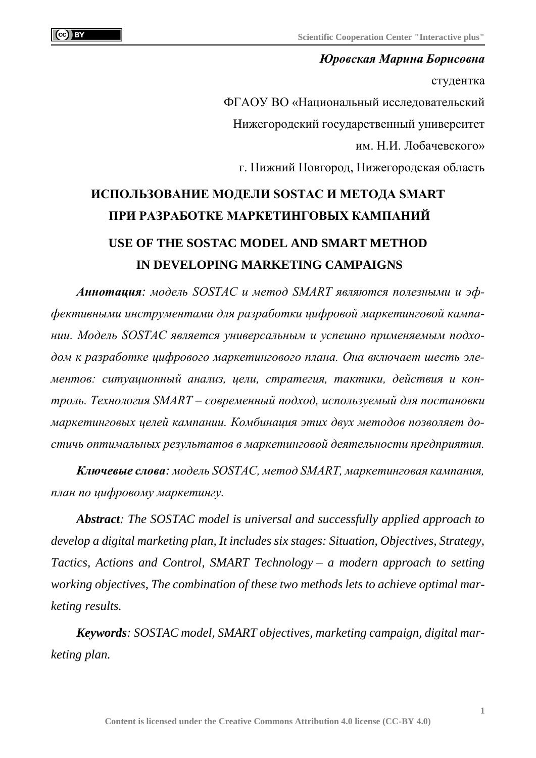*Юровская Марина Борисовна* студентка ФГАОУ ВО «Национальный исследовательский

Нижегородский государственный университет

им. Н.И. Лобачевского»

г. Нижний Новгород, Нижегородская область

## **ИСПОЛЬЗОВАНИЕ МОДЕЛИ SOSTAC И МЕТОДА SMART ПРИ РАЗРАБОТКЕ МАРКЕТИНГОВЫХ КАМПАНИЙ USE OF THE SOSTAC MODEL AND SMART METHOD IN DEVELOPING MARKETING CAMPAIGNS**

*Аннотация: модель SOSTAC и метод SMART являются полезными и эффективными инструментами для разработки цифровой маркетинговой кампании. Модель SOSTAC является универсальным и успешно применяемым подходом к разработке цифрового маркетингового плана. Она включает шесть элементов: ситуационный анализ, цели, стратегия, тактики, действия и контроль. Технология SMART – современный подход, используемый для постановки маркетинговых целей кампании. Комбинация этих двух методов позволяет достичь оптимальных результатов в маркетинговой деятельности предприятия.*

*Ключевые слова: модель SOSTAC, метод SMART, маркетинговая кампания, план по цифровому маркетингу.*

*Abstract: The SOSTAC model is universal and successfully applied approach to develop a digital marketing plan, It includes six stages: Situation, Objectives, Strategy, Tactics, Actions and Control, SMART Technology – a modern approach to setting working objectives, The combination of these two methods lets to achieve optimal marketing results.*

*Keywords: SOSTAC model, SMART objectives, marketing campaign, digital marketing plan.*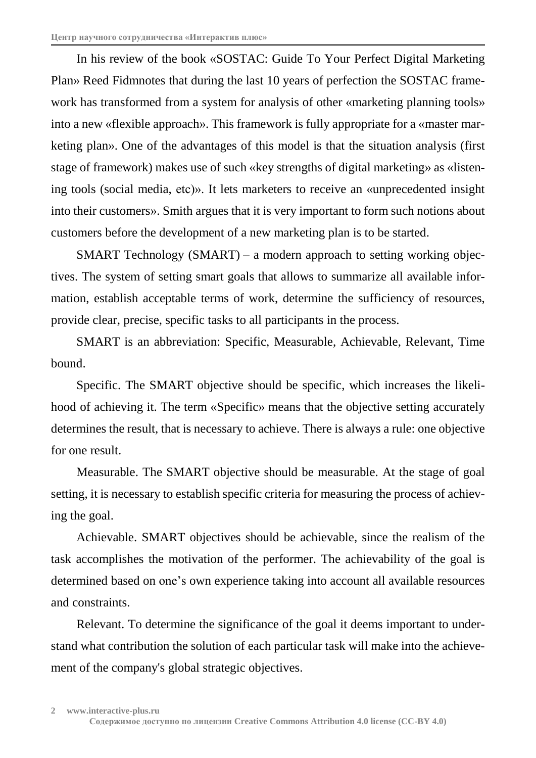In his review of the book «SOSTAC: Guide To Your Perfect Digital Marketing Plan» Reed Fidmnotes that during the last 10 years of perfection the SOSTAC framework has transformed from a system for analysis of other «marketing planning tools» into a new «flexible approach». This framework is fully appropriate for a «master marketing plan». One of the advantages of this model is that the situation analysis (first stage of framework) makes use of such «key strengths of digital marketing» as «listening tools (social media, etc)». It lets marketers to receive an «unprecedented insight into their customers». Smith argues that it is very important to form such notions about customers before the development of a new marketing plan is to be started.

SMART Technology (SMART) – a modern approach to setting working objectives. The system of setting smart goals that allows to summarize all available information, establish acceptable terms of work, determine the sufficiency of resources, provide clear, precise, specific tasks to all participants in the process.

SMART is an abbreviation: Specific, Measurable, Achievable, Relevant, Time bound.

Specific. The SMART objective should be specific, which increases the likelihood of achieving it. The term «Specific» means that the objective setting accurately determines the result, that is necessary to achieve. There is always a rule: one objective for one result.

Measurable. The SMART objective should be measurable. At the stage of goal setting, it is necessary to establish specific criteria for measuring the process of achieving the goal.

Achievable. SMART objectives should be achievable, since the realism of the task accomplishes the motivation of the performer. The achievability of the goal is determined based on one's own experience taking into account all available resources and constraints.

Relevant. To determine the significance of the goal it deems important to understand what contribution the solution of each particular task will make into the achievement of the company's global strategic objectives.